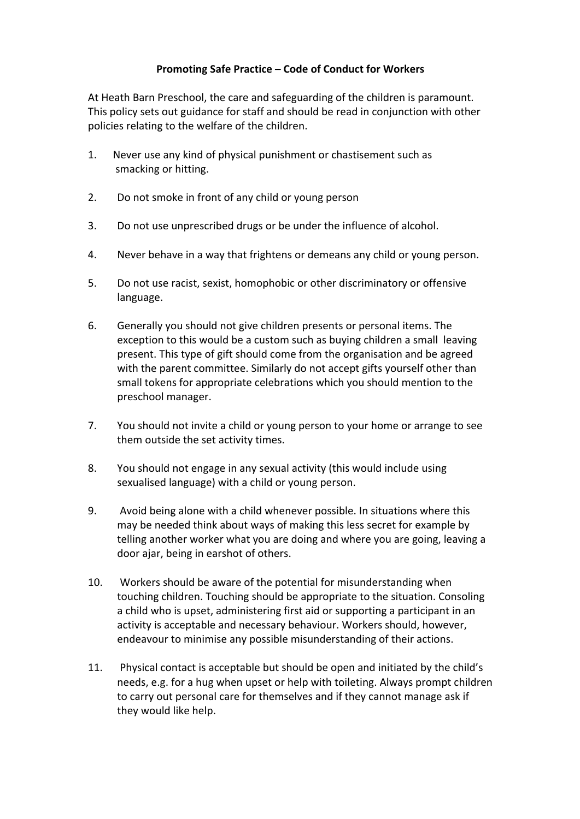## **Promoting Safe Practice – Code of Conduct for Workers**

At Heath Barn Preschool, the care and safeguarding of the children is paramount. This policy sets out guidance for staff and should be read in conjunction with other policies relating to the welfare of the children.

- 1. Never use any kind of physical punishment or chastisement such as smacking or hitting.
- 2. Do not smoke in front of any child or young person
- 3. Do not use unprescribed drugs or be under the influence of alcohol.
- 4. Never behave in a way that frightens or demeans any child or young person.
- 5. Do not use racist, sexist, homophobic or other discriminatory or offensive language.
- 6. Generally you should not give children presents or personal items. The exception to this would be a custom such as buying children a small leaving present. This type of gift should come from the organisation and be agreed with the parent committee. Similarly do not accept gifts yourself other than small tokens for appropriate celebrations which you should mention to the preschool manager.
- 7. You should not invite a child or young person to your home or arrange to see them outside the set activity times.
- 8. You should not engage in any sexual activity (this would include using sexualised language) with a child or young person.
- 9. Avoid being alone with a child whenever possible. In situations where this may be needed think about ways of making this less secret for example by telling another worker what you are doing and where you are going, leaving a door ajar, being in earshot of others.
- 10. Workers should be aware of the potential for misunderstanding when touching children. Touching should be appropriate to the situation. Consoling a child who is upset, administering first aid or supporting a participant in an activity is acceptable and necessary behaviour. Workers should, however, endeavour to minimise any possible misunderstanding of their actions.
- 11. Physical contact is acceptable but should be open and initiated by the child's needs, e.g. for a hug when upset or help with toileting. Always prompt children to carry out personal care for themselves and if they cannot manage ask if they would like help.